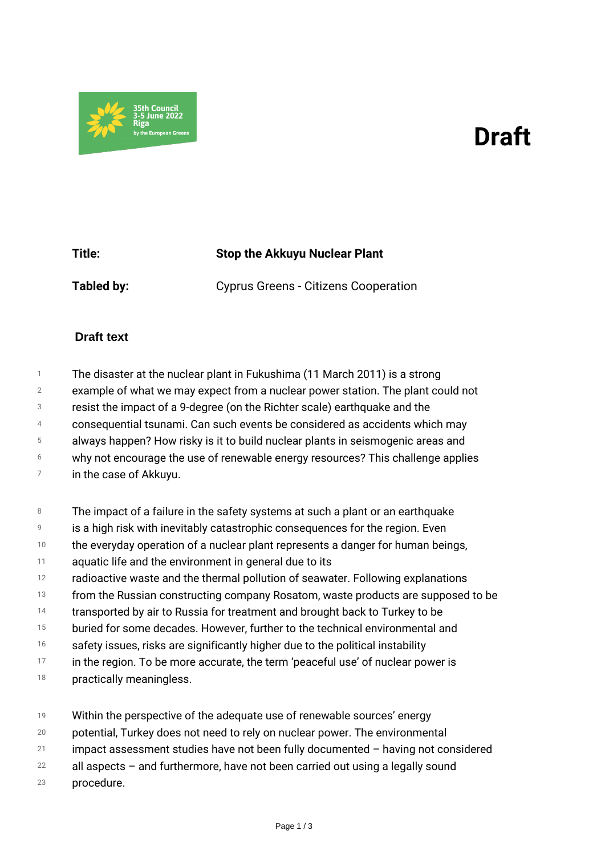## *Draft*



| Title:     | <b>Stop the Akkuyu Nuclear Plant</b>        |
|------------|---------------------------------------------|
| Tabled by: | <b>Cyprus Greens - Citizens Cooperation</b> |

## **Draft text**

*1 2 3 4 5 6 7 The disaster at the nuclear plant in Fukushima (11 March 2011) is a strong example of what we may expect from a nuclear power station. The plant could not resist the impact of a 9-degree (on the Richter scale) earthquake and the consequential tsunami. Can such events be considered as accidents which may always happen? How risky is it to build nuclear plants in seismogenic areas and why not encourage the use of renewable energy resources? This challenge applies in the case of Akkuyu.*

- *8 The impact of a failure in the safety systems at such a plant or an earthquake*
- *9 is a high risk with inevitably catastrophic consequences for the region. Even*
- *10 the everyday operation of a nuclear plant represents a danger for human beings,*
- *11 aquatic life and the environment in general due to its*
- *12 radioactive waste and the thermal pollution of seawater. Following explanations*
- *13 from the Russian constructing company Rosatom, waste products are supposed to be*
- *14 transported by air to Russia for treatment and brought back to Turkey to be*
- *15 buried for some decades. However, further to the technical environmental and*
- *16 safety issues, risks are significantly higher due to the political instability*
- *17 in the region. To be more accurate, the term 'peaceful use' of nuclear power is*
- *18 practically meaningless.*
- *19 Within the perspective of the adequate use of renewable sources' energy*
- *20 potential, Turkey does not need to rely on nuclear power. The environmental*
- *21 impact assessment studies have not been fully documented – having not considered*
- *22 all aspects – and furthermore, have not been carried out using a legally sound*
- *23 procedure.*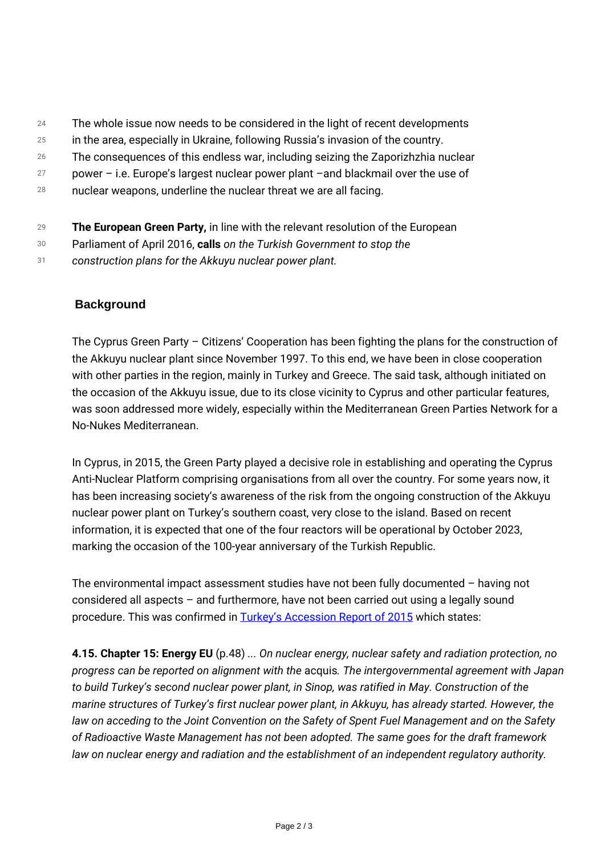- *24 The whole issue now needs to be considered in the light of recent developments*
- *25 in the area, especially in Ukraine, following Russia's invasion of the country.*
- *26 The consequences of this endless war, including seizing the Zaporizhzhia nuclear*
- *27 power – i.e. Europe's largest nuclear power plant –and blackmail over the use of*
- *28 nuclear weapons, underline the nuclear threat we are all facing.*
- *29 The European Green Party, in line with the relevant resolution of the European*
- *30 Parliament of April 2016, calls on the Turkish Government to stop the*
- *31 construction plans for the Akkuyu nuclear power plant.*

## **Background**

*The Cyprus Green Party – Citizens' Cooperation has been fighting the plans for the construction of the Akkuyu nuclear plant since November 1997. To this end, we have been in close cooperation with other parties in the region, mainly in Turkey and Greece. The said task, although initiated on the occasion of the Akkuyu issue, due to its close vicinity to Cyprus and other particular features, was soon addressed more widely, especially within the Mediterranean Green Parties Network for a No-Nukes Mediterranean.*

*In Cyprus, in 2015, the Green Party played a decisive role in establishing and operating the Cyprus Anti-Nuclear Platform comprising organisations from all over the country. For some years now, it has been increasing society's awareness of the risk from the ongoing construction of the Akkuyu nuclear power plant on Turkey's southern coast, very close to the island. Based on recent information, it is expected that one of the four reactors will be operational by October 2023, marking the occasion of the 100-year anniversary of the Turkish Republic.*

*The environmental impact assessment studies have not been fully documented – having not considered all aspects – and furthermore, have not been carried out using a legally sound procedure. This was confirmed in [Turkey's Accession Report of 2015](https://ec.europa.eu/neighbourhood-enlargement/system/files/2018-12/20151110_report_turkey.pdf) which states:*

*4.15. Chapter 15: Energy EU (p.48) ... On nuclear energy, nuclear safety and radiation protection, no progress can be reported on alignment with the acquis. The intergovernmental agreement with Japan to build Turkey's second nuclear power plant, in Sinop, was ratified in May. Construction of the marine structures of Turkey's first nuclear power plant, in Akkuyu, has already started. However, the law on acceding to the Joint Convention on the Safety of Spent Fuel Management and on the Safety of Radioactive Waste Management has not been adopted. The same goes for the draft framework law on nuclear energy and radiation and the establishment of an independent regulatory authority.*